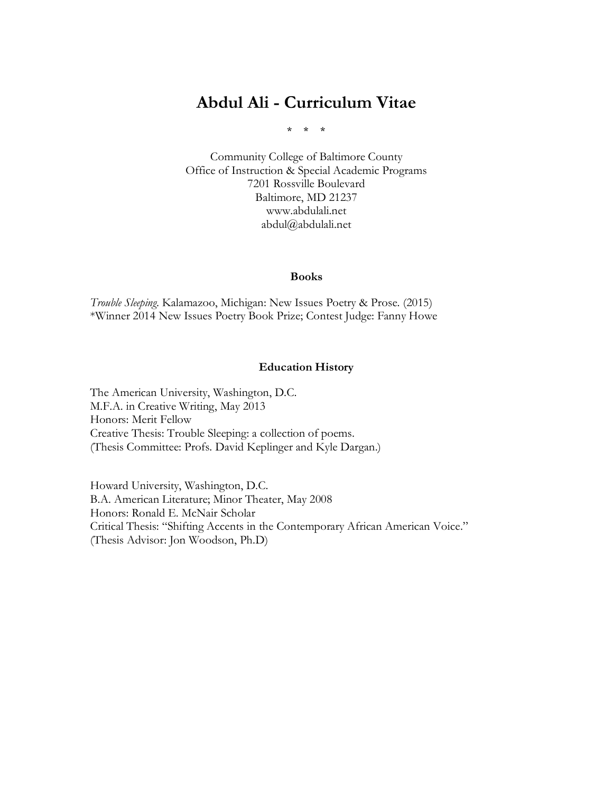# **Abdul Ali - Curriculum Vitae**

\* \* \*

Community College of Baltimore County Office of Instruction & Special Academic Programs 7201 Rossville Boulevard Baltimore, MD 21237 www.abdulali.net abdul@abdulali.net

#### **Books**

*Trouble Sleeping*. Kalamazoo, Michigan: New Issues Poetry & Prose. (2015) \*Winner 2014 New Issues Poetry Book Prize; Contest Judge: Fanny Howe

#### **Education History**

The American University, Washington, D.C. M.F.A. in Creative Writing, May 2013 Honors: Merit Fellow Creative Thesis: Trouble Sleeping: a collection of poems. (Thesis Committee: Profs. David Keplinger and Kyle Dargan.)

Howard University, Washington, D.C. B.A. American Literature; Minor Theater, May 2008 Honors: Ronald E. McNair Scholar Critical Thesis: "Shifting Accents in the Contemporary African American Voice." (Thesis Advisor: Jon Woodson, Ph.D)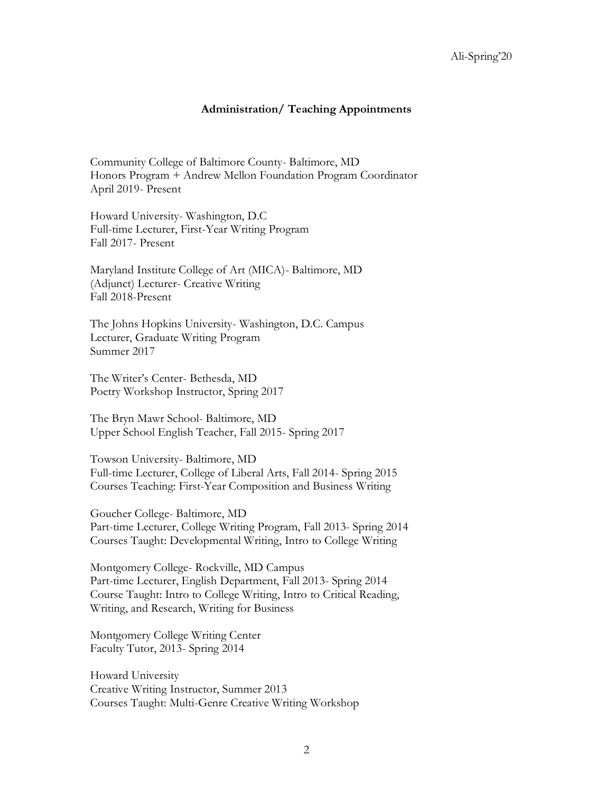## **Administration/ Teaching Appointments**

Community College of Baltimore County- Baltimore, MD Honors Program + Andrew Mellon Foundation Program Coordinator April 2019- Present

Howard University- Washington, D.C Full-time Lecturer, First-Year Writing Program Fall 2017- Present

Maryland Institute College of Art (MICA)- Baltimore, MD (Adjunct) Lecturer- Creative Writing Fall 2018-Present

The Johns Hopkins University- Washington, D.C. Campus Lecturer, Graduate Writing Program Summer 2017

The Writer's Center- Bethesda, MD Poetry Workshop Instructor, Spring 2017

The Bryn Mawr School- Baltimore, MD Upper School English Teacher, Fall 2015- Spring 2017

Towson University- Baltimore, MD Full-time Lecturer, College of Liberal Arts, Fall 2014- Spring 2015 Courses Teaching: First-Year Composition and Business Writing

Goucher College- Baltimore, MD Part-time Lecturer, College Writing Program, Fall 2013- Spring 2014 Courses Taught: Developmental Writing, Intro to College Writing

Montgomery College- Rockville, MD Campus Part-time Lecturer, English Department, Fall 2013- Spring 2014 Course Taught: Intro to College Writing, Intro to Critical Reading, Writing, and Research, Writing for Business

Montgomery College Writing Center Faculty Tutor, 2013- Spring 2014

Howard University Creative Writing Instructor, Summer 2013 Courses Taught: Multi-Genre Creative Writing Workshop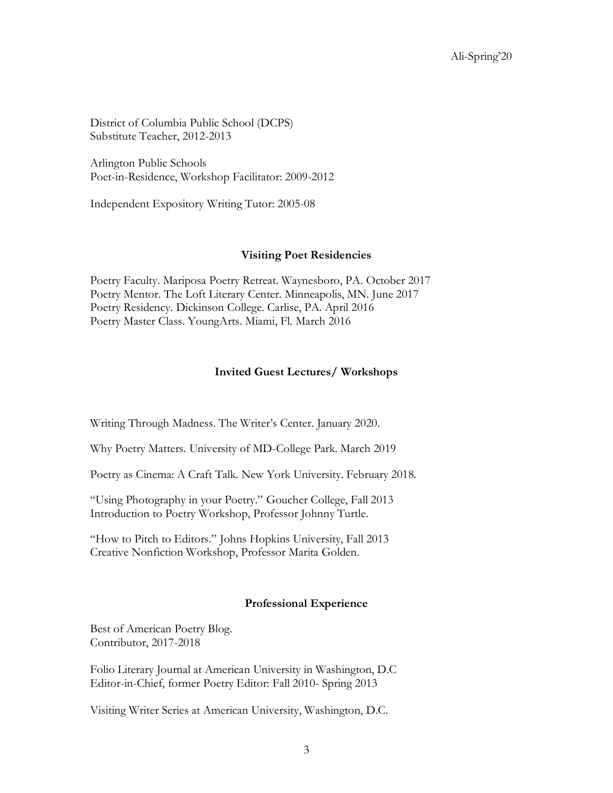District of Columbia Public School (DCPS) Substitute Teacher, 2012-2013

Arlington Public Schools Poet-in-Residence, Workshop Facilitator: 2009-2012

Independent Expository Writing Tutor: 2005-08

#### **Visiting Poet Residencies**

Poetry Faculty. Mariposa Poetry Retreat. Waynesboro, PA. October 2017 Poetry Mentor. The Loft Literary Center. Minneapolis, MN. June 2017 Poetry Residency. Dickinson College. Carlise, PA. April 2016 Poetry Master Class. YoungArts. Miami, Fl. March 2016

## **Invited Guest Lectures/ Workshops**

Writing Through Madness. The Writer's Center. January 2020.

Why Poetry Matters. University of MD-College Park. March 2019

Poetry as Cinema: A Craft Talk. New York University. February 2018.

"Using Photography in your Poetry." Goucher College, Fall 2013 Introduction to Poetry Workshop, Professor Johnny Turtle.

"How to Pitch to Editors." Johns Hopkins University, Fall 2013 Creative Nonfiction Workshop, Professor Marita Golden.

#### **Professional Experience**

Best of American Poetry Blog. Contributor, 2017-2018

Folio Literary Journal at American University in Washington, D.C Editor-in-Chief, former Poetry Editor: Fall 2010- Spring 2013

Visiting Writer Series at American University, Washington, D.C.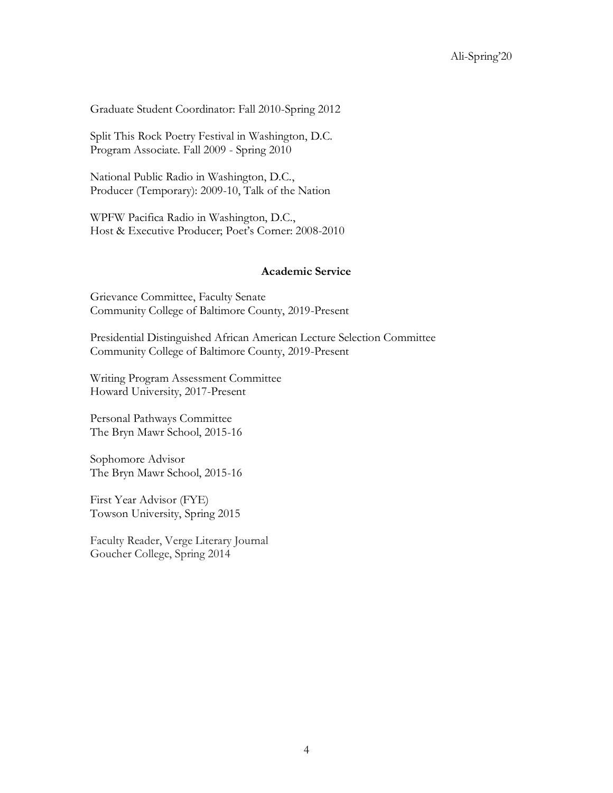Graduate Student Coordinator: Fall 2010-Spring 2012

Split This Rock Poetry Festival in Washington, D.C. Program Associate. Fall 2009 - Spring 2010

National Public Radio in Washington, D.C., Producer (Temporary): 2009-10, Talk of the Nation

WPFW Pacifica Radio in Washington, D.C., Host & Executive Producer; Poet's Corner: 2008-2010

## **Academic Service**

Grievance Committee, Faculty Senate Community College of Baltimore County, 2019-Present

Presidential Distinguished African American Lecture Selection Committee Community College of Baltimore County, 2019-Present

Writing Program Assessment Committee Howard University, 2017-Present

Personal Pathways Committee The Bryn Mawr School, 2015-16

Sophomore Advisor The Bryn Mawr School, 2015-16

First Year Advisor (FYE) Towson University, Spring 2015

Faculty Reader, Verge Literary Journal Goucher College, Spring 2014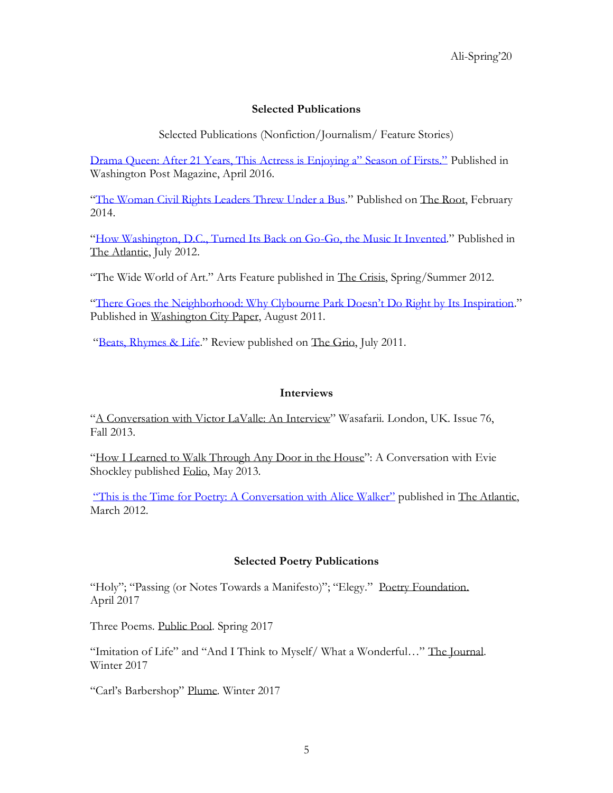## **Selected Publications**

Selected Publications (Nonfiction/Journalism/ Feature Stories)

[Drama Queen: After 21 Years, This Actress is Enjoying a" Season of Firsts."](https://www.washingtonpost.com/lifestyle/magazine/after-21-years-this-dc-actress-is-enjoying-a-season-of-firsts/2016/04/13/034acc0a-e5dc-11e5-b0fd-073d5930a7b7_story.html) Published in Washington Post Magazine, April 2016.

"[The Woman Civil Rights Leaders Threw Under a Bus](http://www.theroot.com/articles/history/2014/02/claudette_colvin_a_forgotten_civil_rights_hero.html)." Published on The Root, February 2014.

"[How Washington, D.C., Turned Its Back on Go-Go, the Music It Invented](http://www.theatlantic.com/entertainment/archive/2012/07/how-washington-dc-turned-its-back-on-go-go-the-music-it-invented/259147/)." Published in The Atlantic, July 2012.

"The Wide World of Art." Arts Feature published in The Crisis, Spring/Summer 2012.

"[There Goes the Neighborhood: Why Clybourne P](http://www.washingtoncitypaper.com/blogs/artsdesk/theater/2011/08/03/there-goes-the-neighborhood-why-clybourne-park-doesn%E2%80%99t-do-right-by-its-inspiration/)ark Doesn't Do Right by Its Inspiration." Published in Washington City Paper, August 2011.

"[Beats, Rhymes & Life](http://thegrio.com/2011/07/15/a-tribe-called-quest-documentary-review/)." Review published on The Grio, July 2011.

## **Interviews**

"A Conversation with Victor LaValle: An Interview" Wasafarii. London, UK. Issue 76, Fall 2013.

"How I Learned to Walk Through Any Door in the House": A Conversation with Evie Shockley published Folio, May 2013.

["This is the Time for Poetry: A Conversation with Alice Walker"](http://www.theatlantic.com/entertainment/archive/2012/03/this-is-the-time-for-poetry-a-conversation-with-alice-walker/254744/) published in The Atlantic, March 2012.

## **Selected Poetry Publications**

"Holy"; "Passing (or Notes Towards a Manifesto)"; "Elegy." Poetry Foundation. April 2017

Three Poems. Public Pool. Spring 2017

"Imitation of Life" and "And I Think to Myself/ What a Wonderful…" The Journal. Winter 2017

"Carl's Barbershop" Plume. Winter 2017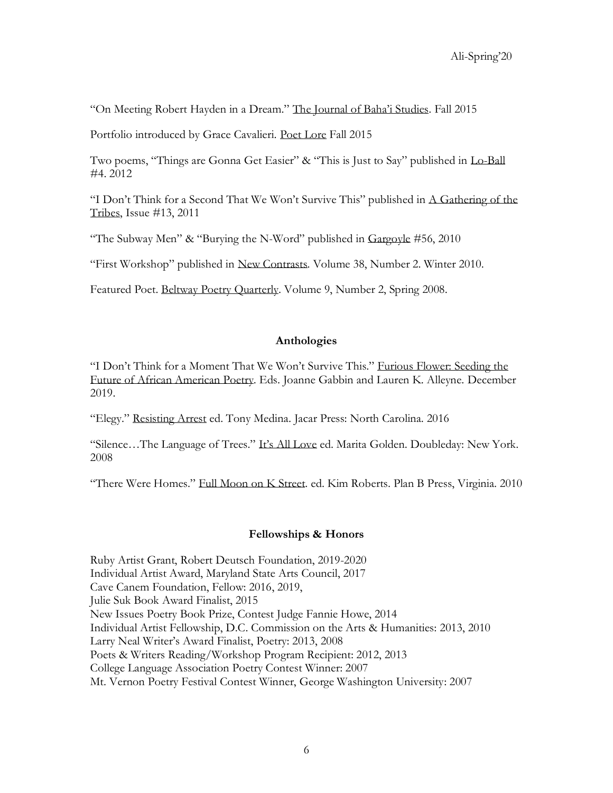"On Meeting Robert Hayden in a Dream." The Journal of Baha'i Studies. Fall 2015

Portfolio introduced by Grace Cavalieri. Poet Lore Fall 2015

Two poems, "Things are Gonna Get Easier" & "This is Just to Say" published in Lo-Ball #4. 2012

"I Don't Think for a Second That We Won't Survive This" published in A Gathering of the Tribes, Issue #13, 2011

"The Subway Men" & "Burying the N-Word" published in Gargoyle #56, 2010

"First Workshop" published in New Contrasts. Volume 38, Number 2. Winter 2010.

Featured Poet. Beltway Poetry Quarterly. Volume 9, Number 2, Spring 2008.

#### **Anthologies**

"I Don't Think for a Moment That We Won't Survive This." Furious Flower: Seeding the Future of African American Poetry. Eds. Joanne Gabbin and Lauren K. Alleyne. December 2019.

"Elegy." Resisting Arrest ed. Tony Medina. Jacar Press: North Carolina. 2016

"Silence…The Language of Trees." It's All Love ed. Marita Golden. Doubleday: New York. 2008

"There Were Homes." Full Moon on K Street. ed. Kim Roberts. Plan B Press, Virginia. 2010

## **Fellowships & Honors**

Ruby Artist Grant, Robert Deutsch Foundation, 2019-2020 Individual Artist Award, Maryland State Arts Council, 2017 Cave Canem Foundation, Fellow: 2016, 2019, Julie Suk Book Award Finalist, 2015 New Issues Poetry Book Prize, Contest Judge Fannie Howe, 2014 Individual Artist Fellowship, D.C. Commission on the Arts & Humanities: 2013, 2010 Larry Neal Writer's Award Finalist, Poetry: 2013, 2008 Poets & Writers Reading/Workshop Program Recipient: 2012, 2013 College Language Association Poetry Contest Winner: 2007 Mt. Vernon Poetry Festival Contest Winner, George Washington University: 2007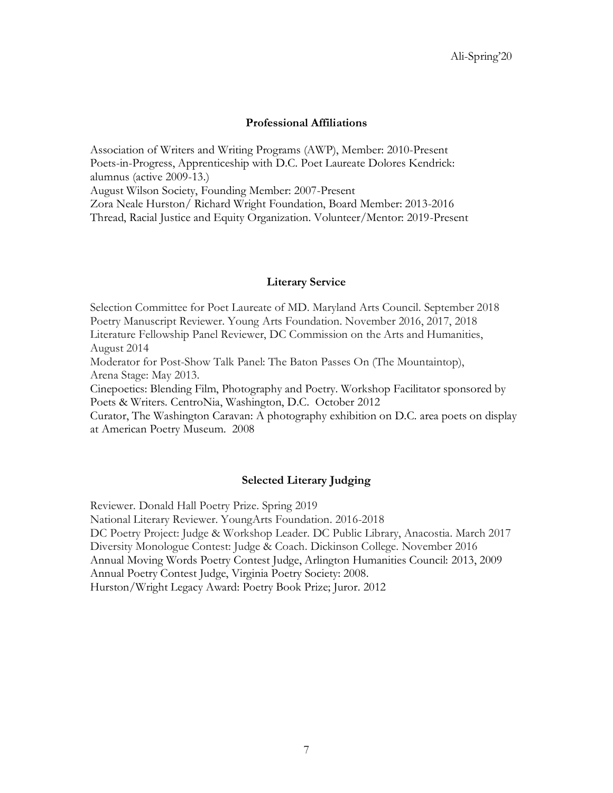## **Professional Affiliations**

Association of Writers and Writing Programs (AWP), Member: 2010-Present Poets-in-Progress, Apprenticeship with D.C. Poet Laureate Dolores Kendrick: alumnus (active 2009-13.) August Wilson Society, Founding Member: 2007-Present Zora Neale Hurston/ Richard Wright Foundation, Board Member: 2013-2016 Thread, Racial Justice and Equity Organization. Volunteer/Mentor: 2019-Present

#### **Literary Service**

Selection Committee for Poet Laureate of MD. Maryland Arts Council. September 2018 Poetry Manuscript Reviewer. Young Arts Foundation. November 2016, 2017, 2018 Literature Fellowship Panel Reviewer, DC Commission on the Arts and Humanities, August 2014 Moderator for Post-Show Talk Panel: The Baton Passes On (The Mountaintop),

Arena Stage: May 2013.

Cinepoetics: Blending Film, Photography and Poetry. Workshop Facilitator sponsored by Poets & Writers. CentroNia, Washington, D.C. October 2012

Curator, The Washington Caravan: A photography exhibition on D.C. area poets on display at American Poetry Museum. 2008

## **Selected Literary Judging**

Reviewer. Donald Hall Poetry Prize. Spring 2019

National Literary Reviewer. YoungArts Foundation. 2016-2018

DC Poetry Project: Judge & Workshop Leader. DC Public Library, Anacostia. March 2017 Diversity Monologue Contest: Judge & Coach. Dickinson College. November 2016 Annual Moving Words Poetry Contest Judge, Arlington Humanities Council: 2013, 2009

Annual Poetry Contest Judge, Virginia Poetry Society: 2008.

Hurston/Wright Legacy Award: Poetry Book Prize; Juror. 2012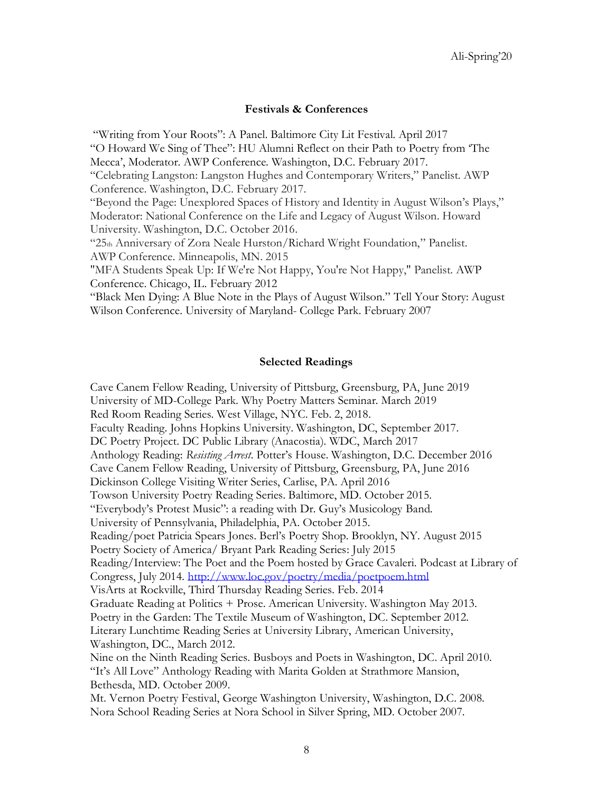#### **Festivals & Conferences**

"Writing from Your Roots": A Panel. Baltimore City Lit Festival. April 2017 "O Howard We Sing of Thee": HU Alumni Reflect on their Path to Poetry from 'The Mecca', Moderator. AWP Conference. Washington, D.C. February 2017. "Celebrating Langston: Langston Hughes and Contemporary Writers," Panelist. AWP Conference. Washington, D.C. February 2017. "Beyond the Page: Unexplored Spaces of History and Identity in August Wilson's Plays," Moderator: National Conference on the Life and Legacy of August Wilson. Howard University. Washington, D.C. October 2016. "25th Anniversary of Zora Neale Hurston/Richard Wright Foundation," Panelist. AWP Conference. Minneapolis, MN. 2015 "MFA Students Speak Up: If We're Not Happy, You're Not Happy," Panelist. AWP Conference. Chicago, IL. February 2012 "Black Men Dying: A Blue Note in the Plays of August Wilson." Tell Your Story: August Wilson Conference. University of Maryland- College Park. February 2007

#### **Selected Readings**

Cave Canem Fellow Reading, University of Pittsburg, Greensburg, PA, June 2019 University of MD-College Park. Why Poetry Matters Seminar. March 2019 Red Room Reading Series. West Village, NYC. Feb. 2, 2018. Faculty Reading. Johns Hopkins University. Washington, DC, September 2017. DC Poetry Project. DC Public Library (Anacostia). WDC, March 2017 Anthology Reading: *Resisting Arrest*. Potter's House. Washington, D.C. December 2016 Cave Canem Fellow Reading, University of Pittsburg, Greensburg, PA, June 2016 Dickinson College Visiting Writer Series, Carlise, PA. April 2016 Towson University Poetry Reading Series. Baltimore, MD. October 2015. "Everybody's Protest Music": a reading with Dr. Guy's Musicology Band. University of Pennsylvania, Philadelphia, PA. October 2015. Reading/poet Patricia Spears Jones. Berl's Poetry Shop. Brooklyn, NY. August 2015 Poetry Society of America/ Bryant Park Reading Series: July 2015 Reading/Interview: The Poet and the Poem hosted by Grace Cavaleri. Podcast at Library of Congress, July 2014.<http://www.loc.gov/poetry/media/poetpoem.html> VisArts at Rockville, Third Thursday Reading Series. Feb. 2014 Graduate Reading at Politics + Prose. American University. Washington May 2013. Poetry in the Garden: The Textile Museum of Washington, DC. September 2012. Literary Lunchtime Reading Series at University Library, American University, Washington, DC., March 2012. Nine on the Ninth Reading Series. Busboys and Poets in Washington, DC. April 2010. "It's All Love" Anthology Reading with Marita Golden at Strathmore Mansion, Bethesda, MD. October 2009. Mt. Vernon Poetry Festival, George Washington University, Washington, D.C. 2008. Nora School Reading Series at Nora School in Silver Spring, MD. October 2007.